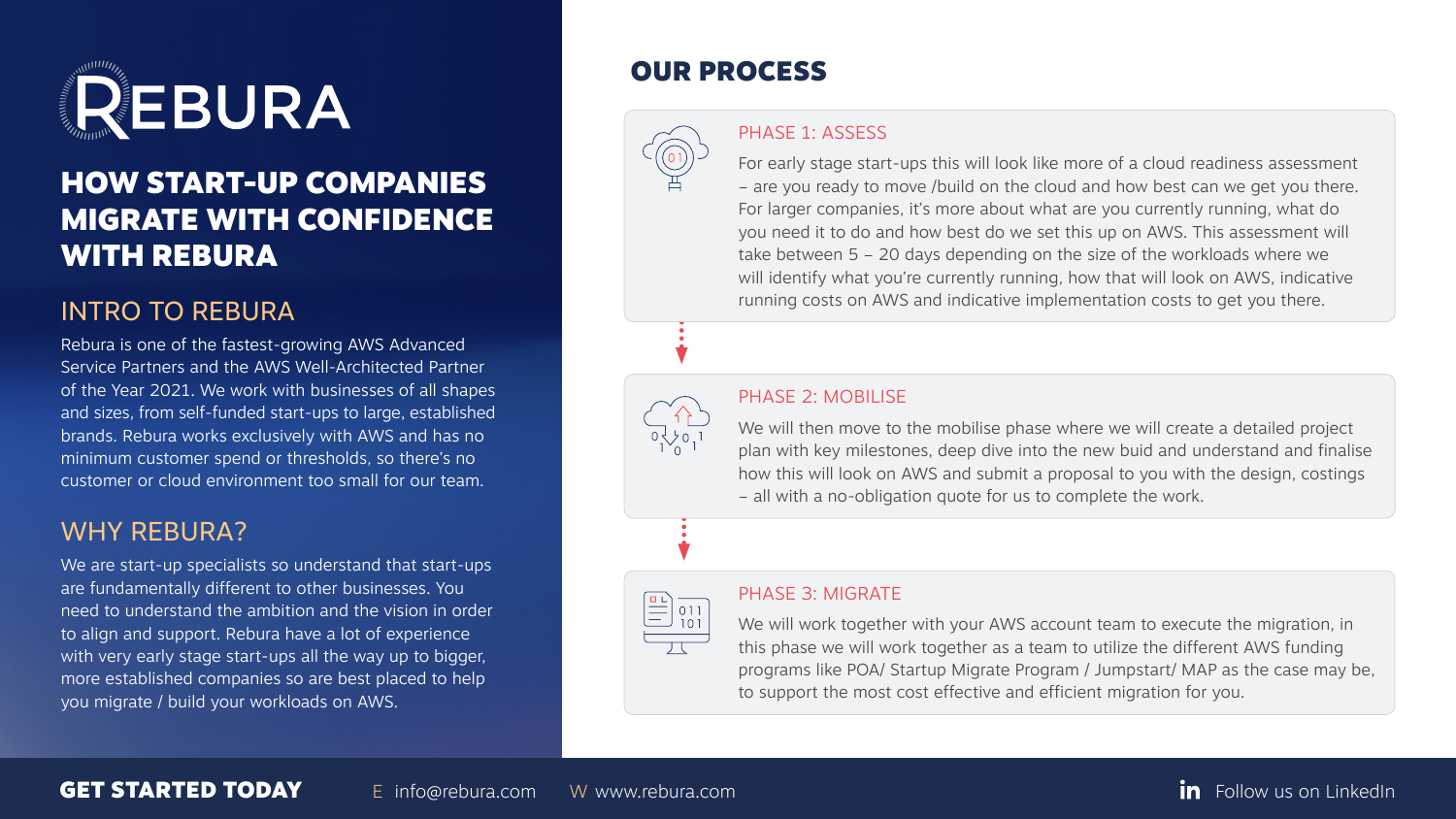

## HOW START-UP COMPANIES MIGRATE WITH CONFIDENCE WITH REBURA

## INTRO TO REBURA

Rebura is one of the fastest-growing AWS Advanced Service Partners and the AWS Well-Architected Partner of the Year 2021. We work with businesses of all shapes and sizes, from self-funded start-ups to large, established brands. Rebura works exclusively with AWS and has no minimum customer spend or thresholds, so there's no customer or cloud environment too small for our team.

We are start-up specialists so understand that start-ups are fundamentally different to other businesses. You need to understand the ambition and the vision in order to align and support. Rebura have a lot of experience with very early stage start-ups all the way up to bigger, more established companies so are best placed to help you migrate / build your workloads on AWS.







### GET STARTED TODAY E [info@rebura.com](mailto:info%40rebura.com?subject=) W [www.rebura.com](https://www.rebura.com/) CET STARTED TODAY

## WHY REBURA?

## OUR PROCESS

#### PHASE 1: ASSESS

For early stage start-ups this will look like more of a cloud readiness assessment – are you ready to move /build on the cloud and how best can we get you there. For larger companies, it's more about what are you currently running, what do you need it to do and how best do we set this up on AWS. This assessment will take between 5 – 20 days depending on the size of the workloads where we will identify what you're currently running, how that will look on AWS, indicative running costs on AWS and indicative implementation costs to get you there.

#### PHASE 2: MOBILISE

We will then move to the mobilise phase where we will create a detailed project plan with key milestones, deep dive into the new buid and understand and finalise how this will look on AWS and submit a proposal to you with the design, costings – all with a no-obligation quote for us to complete the work.

### PHASE 3: MIGRATE

011 101

We will work together with your AWS account team to execute the migration, in this phase we will work together as a team to utilize the different AWS funding programs like POA/ Startup Migrate Program / Jumpstart/ MAP as the case may be, to support the most cost effective and efficient migration for you.